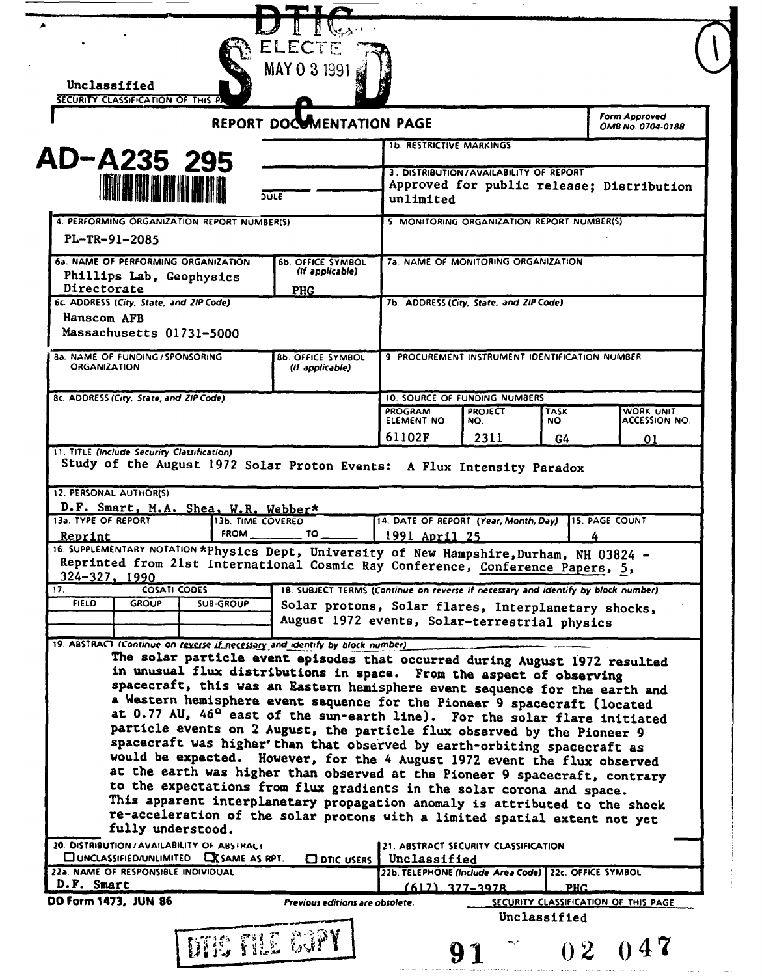| SECURITY CLASSIFICATION OF THIS P                                                                                                                                                                                                                                                                                                                                                                                                                                                                                                                                                                                                                                                                                             | <b>REPORT DOCOMENTATION PAGE</b>                                                                     |                                                                                                               |                       |                    | Form Approved<br>OMB No. 0704-0188 |
|-------------------------------------------------------------------------------------------------------------------------------------------------------------------------------------------------------------------------------------------------------------------------------------------------------------------------------------------------------------------------------------------------------------------------------------------------------------------------------------------------------------------------------------------------------------------------------------------------------------------------------------------------------------------------------------------------------------------------------|------------------------------------------------------------------------------------------------------|---------------------------------------------------------------------------------------------------------------|-----------------------|--------------------|------------------------------------|
|                                                                                                                                                                                                                                                                                                                                                                                                                                                                                                                                                                                                                                                                                                                               | <b>1b. RESTRICTIVE MARKINGS</b>                                                                      |                                                                                                               |                       |                    |                                    |
| AD-A235 295                                                                                                                                                                                                                                                                                                                                                                                                                                                                                                                                                                                                                                                                                                                   | 3. DISTRIBUTION/AVAILABILITY OF REPORT<br>Approved for public release; Distribution<br>unlimited     |                                                                                                               |                       |                    |                                    |
| <b>THE REPORT</b><br>$\overline{SUE}$                                                                                                                                                                                                                                                                                                                                                                                                                                                                                                                                                                                                                                                                                         |                                                                                                      |                                                                                                               |                       |                    |                                    |
| 4. PERFORMING ORGANIZATION REPORT NUMBER(S)<br>PL-TR-91-2085                                                                                                                                                                                                                                                                                                                                                                                                                                                                                                                                                                                                                                                                  |                                                                                                      | 5. MONITORING ORGANIZATION REPORT NUMBER(S)                                                                   |                       |                    |                                    |
| 6a. NAME OF PERFORMING ORGANIZATION                                                                                                                                                                                                                                                                                                                                                                                                                                                                                                                                                                                                                                                                                           | <b>6b. OFFICE SYMBOL</b>                                                                             | 7a. NAME OF MONITORING ORGANIZATION                                                                           |                       |                    |                                    |
| Phillips Lab, Geophysics                                                                                                                                                                                                                                                                                                                                                                                                                                                                                                                                                                                                                                                                                                      | (if applicable)                                                                                      |                                                                                                               |                       |                    |                                    |
| Directorate<br>6c. ADDRESS (City, State, and ZIP Code)                                                                                                                                                                                                                                                                                                                                                                                                                                                                                                                                                                                                                                                                        | <b>PHG</b>                                                                                           | 7b. ADDRESS (City, State, and ZIP Code)                                                                       |                       |                    |                                    |
| Hanscom AFB<br>Massachusetts 01731-5000                                                                                                                                                                                                                                                                                                                                                                                                                                                                                                                                                                                                                                                                                       |                                                                                                      |                                                                                                               |                       |                    |                                    |
| <b>8a. NAME OF FUNDING / SPONSORING</b>                                                                                                                                                                                                                                                                                                                                                                                                                                                                                                                                                                                                                                                                                       | <b>8b. OFFICE SYMBOL</b>                                                                             | 9 PROCUREMENT INSTRUMENT IDENTIFICATION NUMBER                                                                |                       |                    |                                    |
| <b>ORGANIZATION</b>                                                                                                                                                                                                                                                                                                                                                                                                                                                                                                                                                                                                                                                                                                           | (if applicable)                                                                                      |                                                                                                               |                       |                    |                                    |
| 8c. ADDRESS (City, State, and ZIP Code)                                                                                                                                                                                                                                                                                                                                                                                                                                                                                                                                                                                                                                                                                       |                                                                                                      | <b>10. SOURCE OF FUNDING NUMBERS</b>                                                                          |                       |                    |                                    |
|                                                                                                                                                                                                                                                                                                                                                                                                                                                                                                                                                                                                                                                                                                                               |                                                                                                      | PROGRAM<br>ELEMENT NO.                                                                                        | <b>PROJECT</b><br>NO. | <b>TASK</b><br>NO. | WORK UNIT<br>ACCESSION NO.         |
|                                                                                                                                                                                                                                                                                                                                                                                                                                                                                                                                                                                                                                                                                                                               |                                                                                                      | 61102F                                                                                                        | 2311                  | G4                 | 01                                 |
| Study of the August 1972 Solar Proton Events: A Flux Intensity Paradox<br>D.F. Smart, M.A. Shea, W.R. Webber*<br>13b. TIME COVERED<br><b>FROM</b>                                                                                                                                                                                                                                                                                                                                                                                                                                                                                                                                                                             | TO                                                                                                   | 14. DATE OF REPORT (Year, Month, Day)                                                                         |                       |                    | <b>115. PAGE COUNT</b>             |
| <u>Reprint</u><br>Reprinted from 21st International Cosmic Ray Conference, Conference Papers, 5,<br>324-327, 1990<br><b>COSATI CODES</b>                                                                                                                                                                                                                                                                                                                                                                                                                                                                                                                                                                                      | 18. SUBJECT TERMS (Continue on reverse if necessary and identify by block number)                    | 1991 April 25                                                                                                 |                       |                    |                                    |
| <b>FIELD</b><br><b>GROUP</b><br><b>SUB-GROUP</b>                                                                                                                                                                                                                                                                                                                                                                                                                                                                                                                                                                                                                                                                              | Solar protons, Solar flares, Interplanetary shocks,<br>August 1972 events, Solar-terrestrial physics |                                                                                                               |                       |                    |                                    |
| The solar particle event episodes that occurred during August 1972 resulted<br>in unusual flux distributions in space. From the aspect of observing<br>spacecraft, this was an Eastern hemisphere event sequence for the earth and<br>a Western hemisphere event sequence for the Pioneer 9 spacecraft (located<br>at 0.77 AU, 46 <sup>0</sup> east of the sun-earth line). For the solar flare initiated<br>particle events on 2 August, the particle flux observed by the Pioneer 9<br>spacecraft was higher than that observed by earth-orbiting spacecraft as<br>would be expected. However, for the 4 August 1972 event the flux observed<br>at the earth was higher than observed at the Pioneer 9 spacecraft, contrary |                                                                                                      |                                                                                                               |                       |                    |                                    |
| to the expectations from flux gradients in the solar corona and space.<br>This apparent interplanetary propagation anomaly is attributed to the shock<br>re-acceleration of the solar protons with a limited spatial extent not yet<br>fully understood.                                                                                                                                                                                                                                                                                                                                                                                                                                                                      |                                                                                                      |                                                                                                               |                       |                    |                                    |
| 12. PERSONAL AUTHOR(S)<br>13a. TYPE OF REPORT<br>16. SUPPLEMENTARY NOTATION *Physics Dept, University of New Hampshire, Durham, NH 03824 -<br>17.<br>19. ABSTRACT (Continue on reverse if necessary and identify by block number)<br>20. DISTRIBUTION / AVAILABILITY OF ABSTRACT<br>CUNCLASSIFIED/UNLIMITED CX SAME AS RPT.<br>22a. NAME OF RESPONSIBLE INDIVIDUAL                                                                                                                                                                                                                                                                                                                                                            | <b>CO DTIC USERS</b>                                                                                 | 21. ABSTRACT SECURITY CLASSIFICATION<br>Unclassified<br>22b. TELEPHONE (Include Area Code) 22c. OFFICE SYMBOL |                       |                    |                                    |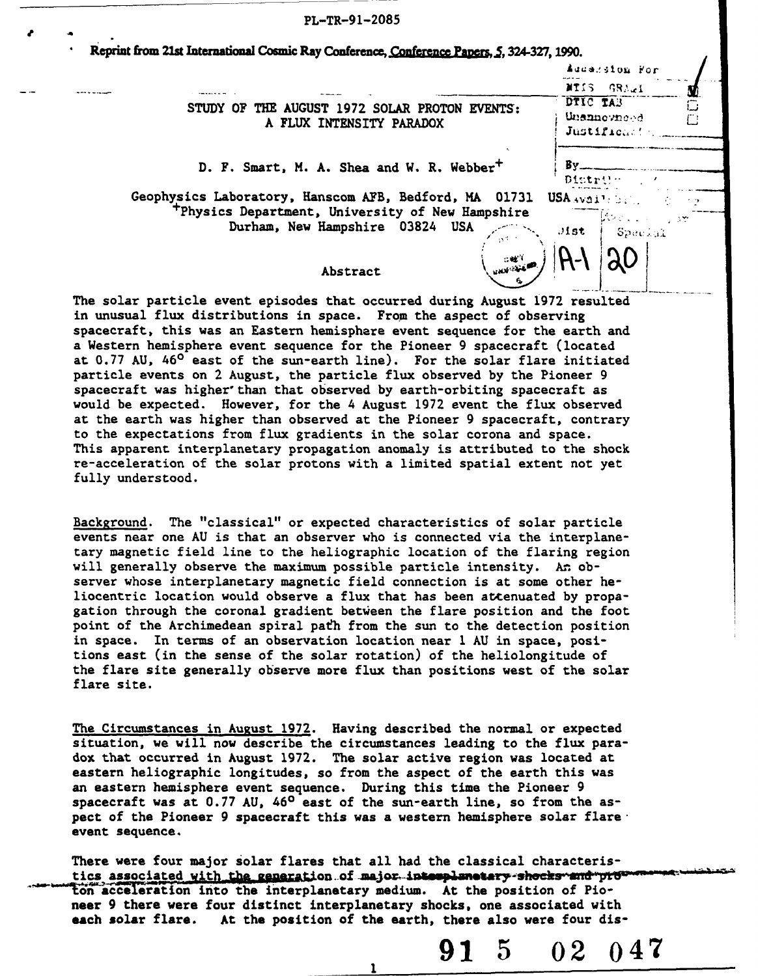| PL-TR-91-2085                                                                                                         |                                        |
|-----------------------------------------------------------------------------------------------------------------------|----------------------------------------|
| Reprint from 21st International Cosmic Ray Conference, Conference Papers, 5, 324-327, 1990.                           |                                        |
|                                                                                                                       | Addension For                          |
|                                                                                                                       | NTIS GRAWI                             |
| THE AUGUST 1972 SOLAR PROTON EVENTS:<br>STUDY OF<br>A FLUX INTENSITY PARADOX                                          | DTIC TAB<br>Unannowneed<br>Justifican! |
| D. F. Smart, M. A. Shea and W. R. Webber <sup>+</sup>                                                                 | By.<br>Distrite                        |
| Geophysics Laboratory, Hanscom AFB, Bedford, MA 01731<br><sup>+</sup> Physics Department, University of New Hampshire | USA AVAITABLE                          |
| Durham, New Hampshire 03824<br>USA                                                                                    | land in<br>1.35<br>Jist<br>Special     |
| الايون<br>الكتوني <sub>ونون</sub><br>Abstract                                                                         |                                        |

The solar particle event episodes that occurred during August **1972** resulted in unusual flux distributions in space. From the aspect of observing spacecraft, this was an Eastern hemisphere event sequence for the earth and a Western hemisphere event sequence for the Pioneer **9** spacecraft (located at **0.77 AU,** 460 east of the sun-earth line). For the solar flare initiated particle events on 2 August, the particle flux observed **by** the Pioneer **9** spacecraft was higher'than that observed **by** earth-orbiting spacecraft as would be expected. However, for the 4 August **1972** event the flux observed at the earth was higher than observed at the Pioneer **9** spacecraft, contrary to the expectations from flux gradients in the solar corona and space. This apparent interplanetary propagation anomaly is attributed to the shock re-acceleration of the solar protons with a limited spatial extent not yet fully understood.

Background. The "classical" or expected characteristics of solar particle events near one **AU** is that an observer who is connected via the interplanetary magnetic field line to the heliographic location of the flaring region will generally observe the maximum possible particle intensity. **An** observer whose interplanetary magnetic field connection is at some other heliocentric location would observe a flux that has been atenuated **by** propagation through the coronal gradient between the flare position and the foot point of the Archimedean spiral path from the sun to the detection position in space. In terms of an observation location near **I AU** in space, positions east (in the sense of the solar rotation) of the heliolongitude of the flare site generally observe more flux than positions west of the solar flare site.

The Circumstances in August **1972.** Having described the normal or expected situation, we will now describe the circumstances leading to the flux paradox that occurred in August **1972.** The solar active region was located at eastern heliographic longitudes, so from the aspect of the earth this was an eastern hemisphere event sequence. During this time the Pioneer **9** spacecraft was at **0.77 AU,** 460 east of the sun-earth line, so from the aspect of the Pioneer **9** spacecraft this was a western hemisphere solar flareevent sequence.

There were four major solar flares that all had the classical characteristics associated with the ceneration of major-intemplanetary-shocks and prov ton acceleration into the interplanetary medium. At the position of Pioneer **9** there were four distinct interplanetary shocks, one associated with each **solar** flare. At the position of the earth, there also were four **dis-**

 $\mathbf{1}$ 

**91 5 02 047**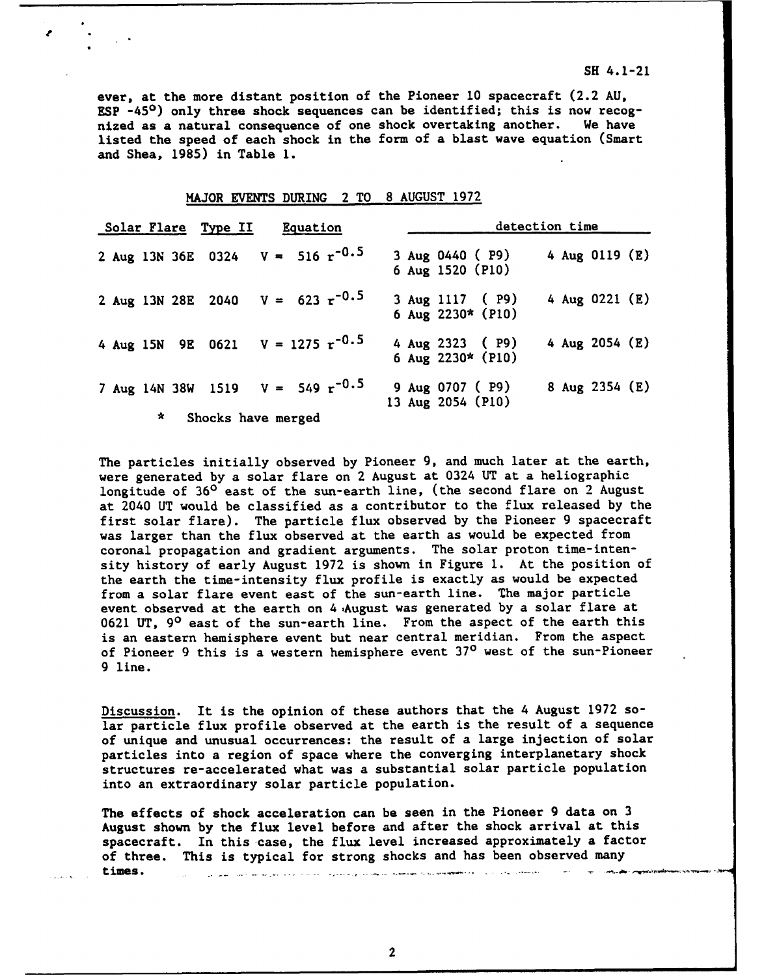ever, at the more distant position of the Pioneer **10** spacecraft (2.2 **AU, ESP** -45<sup>0</sup>) only three shock sequences can be identified; this is now recog-<br>nized as a natural consequence of one shock overtaking another. We have nized as a natural consequence of one shock overtaking another. listed the speed of each shock in the form of a blast wave equation (Smart and Shea, **1985)** in Table **1.**

|   | Solar Flare Type II                           | Equation |                    |                                         | detection time   |  |
|---|-----------------------------------------------|----------|--------------------|-----------------------------------------|------------------|--|
|   | 2 Aug 13N 36E 0324 $V = 516 \text{ r}^{-0.5}$ |          |                    | 3 Aug 0440 ( P9)<br>6 Aug 1520 (P10)    | 4 Aug 0119 (E)   |  |
|   | 2 Aug 13N 28E 2040 $V = 623 \text{ r}^{-0.5}$ |          |                    | 3 Aug 1117 ( P9)<br>6 Aug 2230* (P10)   | 4 Aug 0221 $(E)$ |  |
|   | 4 Aug 15N 9E 0621 $V = 1275 \text{ r}^{-0.5}$ |          |                    | 4 Aug 2323 ( P9)<br>6 Aug $2230*$ (P10) | 4 Aug 2054 $(E)$ |  |
|   | 7 Aug 14N 38W 1519                            |          | $V = 549 r^{-0.5}$ | 9 Aug 0707 ( P9)<br>13 Aug 2054 (P10)   | 8 Aug 2354 (E)   |  |
| ∗ | Shocks have merged                            |          |                    |                                         |                  |  |

## MAJOR **EVENTS** DURING 2 TO **8 AUGUST 1972**

The particles initially observed **by** Pioneer **9,** and much later at the earth, were generated **by** a solar flare on 2 August at 0324 **UT** at a heliographic longitude of **360** east of the sun-earth line, (the second flare on 2 August at 2040 UT would be classified as a contributor to the flux released by the first solar flare). The particle flux observed by the Pioneer 9 spacecraft was larger than the flux observed at the earth as would be expected from coronal propagation and gradient arguments. The solar proton time-intensity history of early August 1972 is shown in Figure **1.** At the position of the earth the time-intensity flux profile is exactly as would be expected from a solar flare event east of the sun-earth line. The major particle event observed at the earth on 4 August was generated by a solar flare at 0621 UT, **90** east of the sun-earth line. From the aspect of the earth this is an eastern hemisphere event but near central meridian. From the aspect of Pioneer 9 this is a western hemisphere event **370** west of the sun-Pioneer 9 line.

Discussion. It is the opinion of these authors that the 4 August 1972 solar particle flux profile observed at the earth is the result of a sequence of unique and unusual occurrences: the result of a large injection of solar particles into a region of space where the converging interplanetary shock structures re-accelerated what was a substantial solar particle population into an extraordinary solar particle population.

The effects of shock acceleration can **be** seen in the Pioneer **9** data on **3** August shown **by** the flux level before and after the shock arrival at this spacecraft. In this case, the flux level increased approximately a factor of three. This is typical for strong shocks and has been observed many times. الموسيقين التركيب والتي الموقع المتوجه وتواجه الموسيقين التداوسا وبالم المتوجب الأوليات الواديا وموارسا ومداولتين السيراني

2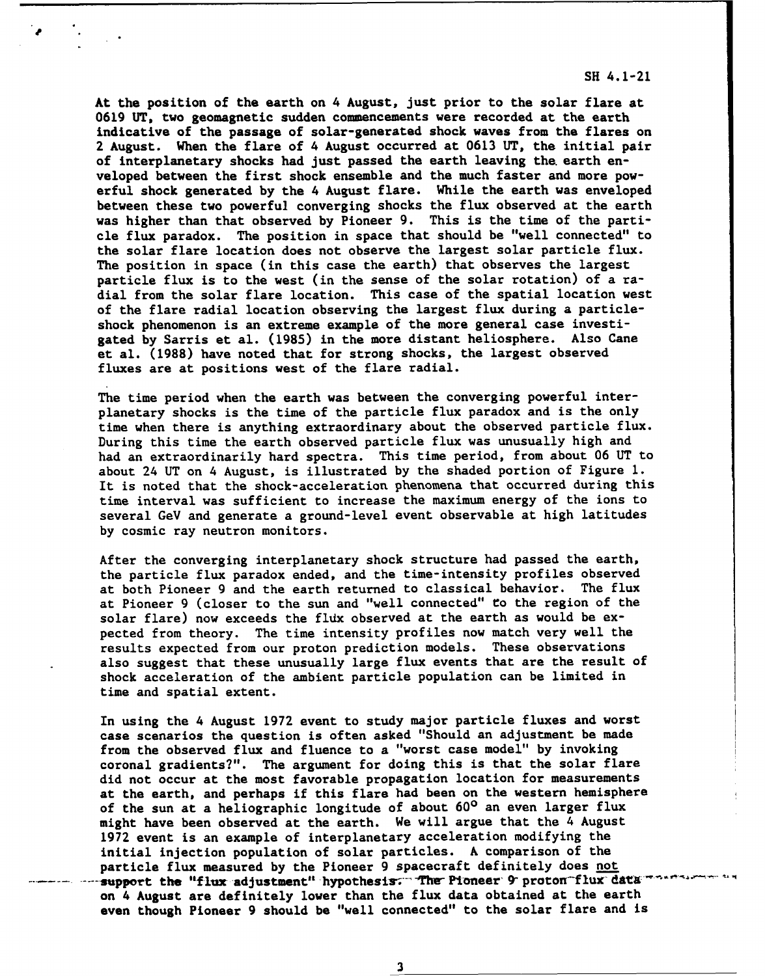At the position of the earth on 4 August, just prior to the solar flare at **0619 UT,** two geomagnetic sudden commencements were recorded at the earth indicative of the passage of solar-generated shock waves from the flares on 2 August. When the flare of 4 August occurred at **0613 UT,** the initial pair of interplanetary shocks had just passed the earth leaving the. earth enveloped between the first shock ensemble and the much faster and more powerful shock generated **by** the 4 August flare. While the earth was enveloped between these two powerful converging shocks the flux observed at the earth was higher than that observed **by** Pioneer **9.** This is the time of the particle flux paradox. The position in space that should be "well connected" to the solar flare location does not observe the largest solar particle flux. The position in space (in this case the earth) that observes the largest particle flux is to the west (in the sense of the solar rotation) of a radial from the solar flare location. This case of the spatial location west of the flare radial location observing the largest flux during a particleshock phenomenon is an extreme example of the more general case investigated **by** Sarris et al. **(1985)** in the more distant heliosphere. Also Cane et al. **(1988)** have noted that for strong shocks, the largest observed fluxes are at positions west of the flare radial.

The time period when the earth was between the converging powerful interplanetary shocks is the time of the particle flux paradox and is the only time when there is anything extraordinary about the observed particle flux. During this time the earth observed particle flux was unusually high and had an extraordinarily hard spectra. This time period, from about **06 UT** to about 24 **UT** on 4 August, is illustrated **by** the shaded portion of Figure **1.** It is noted that the shock-acceleration phenomena that occurred during this time interval was sufficient to increase the maximum energy of the ions to several GeV and generate a ground-level event observable at high latitudes **by** cosmic ray neutron monitors.

After the converging interplanetary shock structure had passed the earth, the particle flux paradox ended, and the time-intensity profiles observed at both Pioneer **9** and the earth returned to classical behavior. The flux at Pioneer **9** (closer to the sun and "well connected" to the region of the solar flare) now exceeds the fldx observed at the earth as would be expected from theory. The time intensity profiles now match very well the results expected from our proton prediction models. These observations also suggest that these unusually large flux events that are the result of shock acceleration of the ambient particle population can be limited in time and spatial extent.

In using the 4 August **1972** event to study major particle fluxes and worst case scenarios the question is often asked "Should an adjustment be made from the observed flux and fluence to a "worst case model" **by** invoking coronal gradients?". The argument for doing this is that the solar flare did not occur at the most favorable propagation location for measurements at the earth, and perhaps if this flare had been on the western hemisphere of the sun at a heliographic longitude of about **600** an even larger flux might have been observed at the earth. We will argue that the 4 August **1972** event is an example of interplanetary acceleration modifying the initial injection population of solar particles. **A** comparison of the particle flux measured **by** the Pioneer **9** spacecraft definitely does not .support the "flux adjustment" hypothesis: The Pioneer 9 proton flux data<sup>----</sup>. on 4 August are definitely lower than the flux data obtained at the earth even though Pioneer **9** should **be** "well connected" to the solar flare and is

**3**